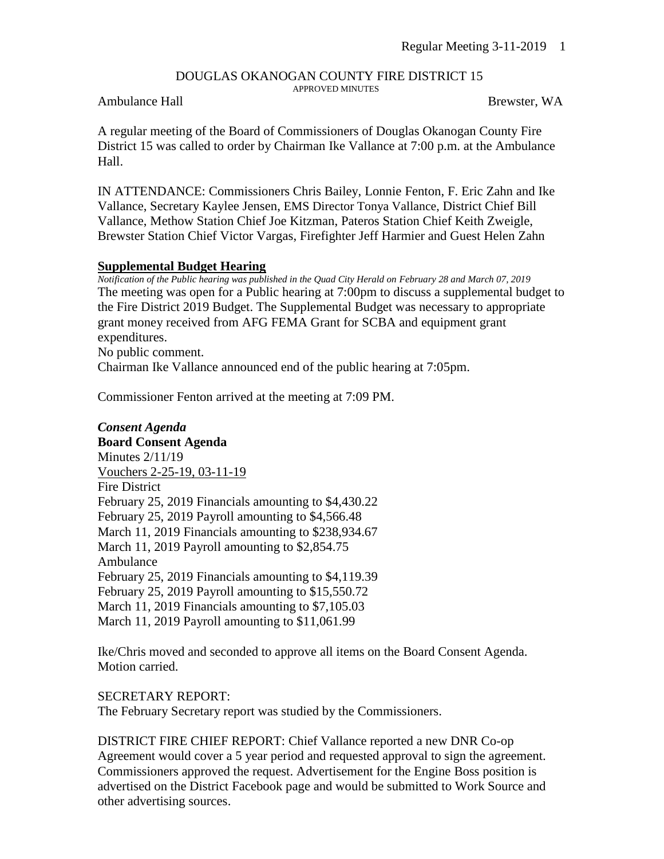# DOUGLAS OKANOGAN COUNTY FIRE DISTRICT 15

APPROVED MINUTES

## Ambulance Hall Brewster, WA

A regular meeting of the Board of Commissioners of Douglas Okanogan County Fire District 15 was called to order by Chairman Ike Vallance at 7:00 p.m. at the Ambulance Hall.

IN ATTENDANCE: Commissioners Chris Bailey, Lonnie Fenton, F. Eric Zahn and Ike Vallance, Secretary Kaylee Jensen, EMS Director Tonya Vallance, District Chief Bill Vallance, Methow Station Chief Joe Kitzman, Pateros Station Chief Keith Zweigle, Brewster Station Chief Victor Vargas, Firefighter Jeff Harmier and Guest Helen Zahn

#### **Supplemental Budget Hearing**

*Notification of the Public hearing was published in the Quad City Herald on February 28 and March 07, 2019* The meeting was open for a Public hearing at 7:00pm to discuss a supplemental budget to the Fire District 2019 Budget. The Supplemental Budget was necessary to appropriate grant money received from AFG FEMA Grant for SCBA and equipment grant expenditures. No public comment. Chairman Ike Vallance announced end of the public hearing at 7:05pm.

Commissioner Fenton arrived at the meeting at 7:09 PM.

### *Consent Agenda*

**Board Consent Agenda** Minutes 2/11/19 Vouchers 2-25-19, 03-11-19 Fire District February 25, 2019 Financials amounting to \$4,430.22 February 25, 2019 Payroll amounting to \$4,566.48 March 11, 2019 Financials amounting to \$238,934.67 March 11, 2019 Payroll amounting to \$2,854.75 Ambulance February 25, 2019 Financials amounting to \$4,119.39 February 25, 2019 Payroll amounting to \$15,550.72 March 11, 2019 Financials amounting to \$7,105.03 March 11, 2019 Payroll amounting to \$11,061.99

Ike/Chris moved and seconded to approve all items on the Board Consent Agenda. Motion carried.

#### SECRETARY REPORT:

The February Secretary report was studied by the Commissioners.

DISTRICT FIRE CHIEF REPORT: Chief Vallance reported a new DNR Co-op Agreement would cover a 5 year period and requested approval to sign the agreement. Commissioners approved the request. Advertisement for the Engine Boss position is advertised on the District Facebook page and would be submitted to Work Source and other advertising sources.